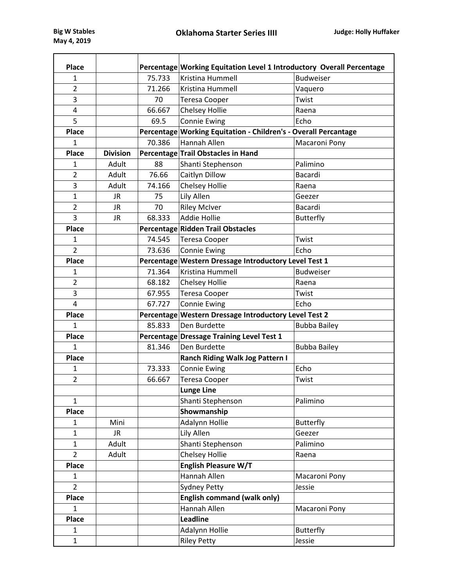| <b>Place</b>   |                 |        | Percentage Working Equitation Level 1 Introductory Overall Percentage |                     |  |  |  |  |  |
|----------------|-----------------|--------|-----------------------------------------------------------------------|---------------------|--|--|--|--|--|
| $\mathbf{1}$   |                 | 75.733 | <b>Budweiser</b><br><b>Kristina Hummell</b>                           |                     |  |  |  |  |  |
| $\overline{2}$ |                 | 71.266 | Kristina Hummell                                                      | Vaquero             |  |  |  |  |  |
| 3              |                 | 70     | <b>Teresa Cooper</b>                                                  | Twist               |  |  |  |  |  |
| 4              |                 | 66.667 | Chelsey Hollie                                                        | Raena               |  |  |  |  |  |
| 5              |                 | 69.5   | <b>Connie Ewing</b>                                                   | Echo                |  |  |  |  |  |
| <b>Place</b>   |                 |        | Percentage Working Equitation - Children's - Overall Percantage       |                     |  |  |  |  |  |
| 1              |                 | 70.386 | <b>Hannah Allen</b>                                                   | Macaroni Pony       |  |  |  |  |  |
| <b>Place</b>   | <b>Division</b> |        | Percentage Trail Obstacles in Hand                                    |                     |  |  |  |  |  |
| $\mathbf{1}$   | Adult           | 88     | Shanti Stephenson                                                     | Palimino            |  |  |  |  |  |
| $\overline{2}$ | Adult           | 76.66  | Caitlyn Dillow                                                        | Bacardi             |  |  |  |  |  |
| 3              | Adult           | 74.166 | <b>Chelsey Hollie</b>                                                 | Raena               |  |  |  |  |  |
| $\mathbf{1}$   | <b>JR</b>       | 75     | Lily Allen                                                            | Geezer              |  |  |  |  |  |
| $\overline{2}$ | <b>JR</b>       | 70     | <b>Riley McIver</b>                                                   | Bacardi             |  |  |  |  |  |
| 3              | <b>JR</b>       | 68.333 | <b>Addie Hollie</b>                                                   | <b>Butterfly</b>    |  |  |  |  |  |
| <b>Place</b>   |                 |        | Percentage Ridden Trail Obstacles                                     |                     |  |  |  |  |  |
| $\mathbf{1}$   |                 | 74.545 | <b>Teresa Cooper</b>                                                  | Twist               |  |  |  |  |  |
| $\overline{2}$ |                 | 73.636 | <b>Connie Ewing</b>                                                   | Echo                |  |  |  |  |  |
| <b>Place</b>   |                 |        | Percentage Western Dressage Introductory Level Test 1                 |                     |  |  |  |  |  |
| 1              |                 | 71.364 | Kristina Hummell                                                      | <b>Budweiser</b>    |  |  |  |  |  |
| $\overline{2}$ |                 | 68.182 | Chelsey Hollie                                                        | Raena               |  |  |  |  |  |
| 3              |                 | 67.955 | <b>Teresa Cooper</b>                                                  | Twist               |  |  |  |  |  |
| 4              |                 | 67.727 | <b>Connie Ewing</b>                                                   | Echo                |  |  |  |  |  |
| Place          |                 |        | Percentage Western Dressage Introductory Level Test 2                 |                     |  |  |  |  |  |
| $\mathbf{1}$   |                 | 85.833 | Den Burdette                                                          | <b>Bubba Bailey</b> |  |  |  |  |  |
| Place          |                 |        | Percentage Dressage Training Level Test 1                             |                     |  |  |  |  |  |
| $\mathbf{1}$   |                 | 81.346 | Den Burdette                                                          | <b>Bubba Bailey</b> |  |  |  |  |  |
| <b>Place</b>   |                 |        | <b>Ranch Riding Walk Jog Pattern I</b>                                |                     |  |  |  |  |  |
| $\mathbf{1}$   |                 | 73.333 | <b>Connie Ewing</b>                                                   | Echo                |  |  |  |  |  |
| $\overline{2}$ |                 | 66.667 | <b>Teresa Cooper</b>                                                  | Twist               |  |  |  |  |  |
|                |                 |        | <b>Lunge Line</b>                                                     |                     |  |  |  |  |  |
| $\mathbf{1}$   |                 |        | Shanti Stephenson                                                     | Palimino            |  |  |  |  |  |
| Place          |                 |        | Showmanship                                                           |                     |  |  |  |  |  |
| $\mathbf{1}$   | Mini            |        | Adalynn Hollie                                                        | Butterfly           |  |  |  |  |  |
| $\mathbf{1}$   | JR.             |        | Lily Allen                                                            | Geezer              |  |  |  |  |  |
| $\mathbf{1}$   | Adult           |        | Shanti Stephenson                                                     | Palimino            |  |  |  |  |  |
| $\overline{2}$ | Adult           |        | <b>Chelsey Hollie</b>                                                 | Raena               |  |  |  |  |  |
| Place          |                 |        | English Pleasure W/T                                                  |                     |  |  |  |  |  |
| $\mathbf{1}$   |                 |        | Hannah Allen                                                          | Macaroni Pony       |  |  |  |  |  |
| $\overline{2}$ |                 |        | <b>Sydney Petty</b>                                                   | Jessie              |  |  |  |  |  |
| Place          |                 |        | <b>English command (walk only)</b>                                    |                     |  |  |  |  |  |
| 1              |                 |        | Hannah Allen                                                          | Macaroni Pony       |  |  |  |  |  |
| Place          |                 |        | <b>Leadline</b>                                                       |                     |  |  |  |  |  |
| $\mathbf{1}$   |                 |        | Adalynn Hollie                                                        | Butterfly           |  |  |  |  |  |
| $\mathbf{1}$   |                 |        | <b>Riley Petty</b>                                                    | Jessie              |  |  |  |  |  |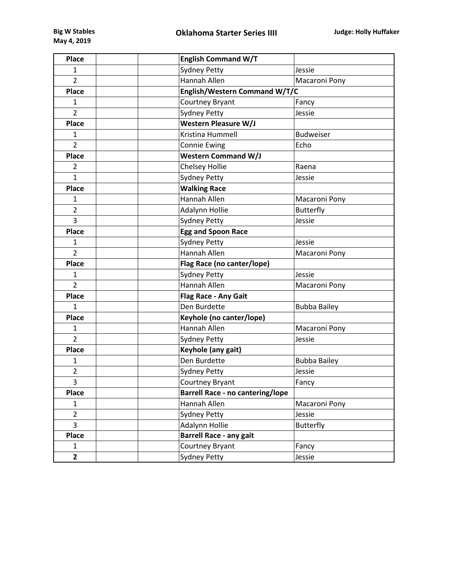| <b>Place</b>   | <b>English Command W/T</b>              |                     |  |  |
|----------------|-----------------------------------------|---------------------|--|--|
| $\mathbf{1}$   | <b>Sydney Petty</b>                     | Jessie              |  |  |
| $\overline{2}$ | Hannah Allen                            | Macaroni Pony       |  |  |
| Place          | English/Western Command W/T/C           |                     |  |  |
| 1              | Courtney Bryant                         | Fancy               |  |  |
| $\overline{2}$ | <b>Sydney Petty</b>                     | Jessie              |  |  |
| <b>Place</b>   | Western Pleasure W/J                    |                     |  |  |
| 1              | Kristina Hummell                        | <b>Budweiser</b>    |  |  |
| $\overline{2}$ | <b>Connie Ewing</b>                     | Echo                |  |  |
| Place          | <b>Western Command W/J</b>              |                     |  |  |
| $\overline{2}$ | Chelsey Hollie                          | Raena               |  |  |
| $\mathbf{1}$   | <b>Sydney Petty</b>                     | Jessie              |  |  |
| <b>Place</b>   | <b>Walking Race</b>                     |                     |  |  |
| 1              | Hannah Allen                            | Macaroni Pony       |  |  |
| $\overline{2}$ | Adalynn Hollie                          | Butterfly           |  |  |
| 3              | <b>Sydney Petty</b>                     | Jessie              |  |  |
| Place          | <b>Egg and Spoon Race</b>               |                     |  |  |
| 1              | <b>Sydney Petty</b>                     | Jessie              |  |  |
| $\overline{2}$ | Hannah Allen                            | Macaroni Pony       |  |  |
| <b>Place</b>   | Flag Race (no canter/lope)              |                     |  |  |
| $\mathbf{1}$   | <b>Sydney Petty</b>                     | Jessie              |  |  |
| $\overline{2}$ | Hannah Allen                            | Macaroni Pony       |  |  |
| <b>Place</b>   | Flag Race - Any Gait                    |                     |  |  |
| 1              | Den Burdette                            | <b>Bubba Bailey</b> |  |  |
| <b>Place</b>   | Keyhole (no canter/lope)                |                     |  |  |
| 1              | Hannah Allen                            | Macaroni Pony       |  |  |
| $\overline{2}$ | <b>Sydney Petty</b>                     | Jessie              |  |  |
| Place          | Keyhole (any gait)                      |                     |  |  |
| 1              | Den Burdette                            | <b>Bubba Bailey</b> |  |  |
| $\overline{2}$ | <b>Sydney Petty</b>                     | Jessie              |  |  |
| 3              | Courtney Bryant                         | Fancy               |  |  |
| <b>Place</b>   | <b>Barrell Race - no cantering/lope</b> |                     |  |  |
| 1              | Hannah Allen                            | Macaroni Pony       |  |  |
| $\overline{2}$ | <b>Sydney Petty</b>                     | Jessie              |  |  |
| 3              | Adalynn Hollie                          | Butterfly           |  |  |
| Place          | Barrell Race - any gait                 |                     |  |  |
| 1              | Courtney Bryant                         | Fancy               |  |  |
| $\overline{2}$ | <b>Sydney Petty</b>                     | Jessie              |  |  |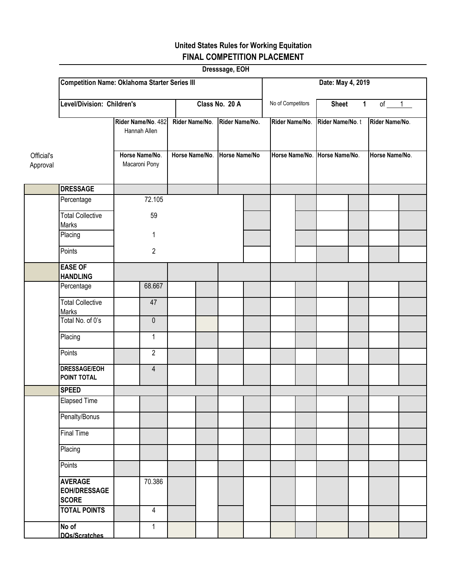## **United States Rules for Working Equitation FINAL COMPETITION PLACEMENT**

| Dresssage, EOH         |                                                       |                                 |                                  |  |                                 |                   |                |                   |                                                  |          |                                  |  |  |  |
|------------------------|-------------------------------------------------------|---------------------------------|----------------------------------|--|---------------------------------|-------------------|----------------|-------------------|--------------------------------------------------|----------|----------------------------------|--|--|--|
|                        | <b>Competition Name: Oklahoma Starter Series III</b>  |                                 |                                  |  |                                 |                   |                | Date: May 4, 2019 |                                                  |          |                                  |  |  |  |
|                        | Level/Division: Children's                            |                                 | Class No. 20 A                   |  |                                 | No of Competitors |                | <b>Sheet</b>      | $\mathbf{1}$                                     | $of \t1$ |                                  |  |  |  |
|                        | Rider Name/No. 482<br>Hannah Allen                    |                                 | Rider Name/No.<br>Horse Name/No. |  | Rider Name/No.<br>Horse Name/No |                   | Rider Name/No. |                   | Rider Name/No.t<br>Horse Name/No. Horse Name/No. |          | Rider Name/No.<br>Horse Name/No. |  |  |  |
| Official's<br>Approval |                                                       | Horse Name/No.<br>Macaroni Pony |                                  |  |                                 |                   |                |                   |                                                  |          |                                  |  |  |  |
|                        | <b>DRESSAGE</b>                                       |                                 |                                  |  |                                 |                   |                |                   |                                                  |          |                                  |  |  |  |
|                        | Percentage                                            |                                 | 72.105                           |  |                                 |                   |                |                   |                                                  |          |                                  |  |  |  |
|                        | <b>Total Collective</b><br>Marks                      |                                 | 59                               |  |                                 |                   |                |                   |                                                  |          |                                  |  |  |  |
|                        | Placing                                               |                                 | 1                                |  |                                 |                   |                |                   |                                                  |          |                                  |  |  |  |
|                        | Points                                                |                                 | $\overline{2}$                   |  |                                 |                   |                |                   |                                                  |          |                                  |  |  |  |
|                        | <b>EASE OF</b><br><b>HANDLING</b>                     |                                 |                                  |  |                                 |                   |                |                   |                                                  |          |                                  |  |  |  |
|                        | Percentage                                            |                                 | 68.667                           |  |                                 |                   |                |                   |                                                  |          |                                  |  |  |  |
|                        | <b>Total Collective</b><br>Marks                      |                                 | 47                               |  |                                 |                   |                |                   |                                                  |          |                                  |  |  |  |
|                        | Total No. of 0's                                      |                                 | $\pmb{0}$                        |  |                                 |                   |                |                   |                                                  |          |                                  |  |  |  |
|                        | Placing                                               |                                 | $\mathbf{1}$                     |  |                                 |                   |                |                   |                                                  |          |                                  |  |  |  |
|                        | Points                                                |                                 | $\overline{2}$                   |  |                                 |                   |                |                   |                                                  |          |                                  |  |  |  |
|                        | <b>DRESSAGE/EOH</b><br>POINT TOTAL                    |                                 | $\overline{4}$                   |  |                                 |                   |                |                   |                                                  |          |                                  |  |  |  |
|                        | <b>SPEED</b>                                          |                                 |                                  |  |                                 |                   |                |                   |                                                  |          |                                  |  |  |  |
|                        | <b>Elapsed Time</b>                                   |                                 |                                  |  |                                 |                   |                |                   |                                                  |          |                                  |  |  |  |
|                        | Penalty/Bonus                                         |                                 |                                  |  |                                 |                   |                |                   |                                                  |          |                                  |  |  |  |
|                        | <b>Final Time</b>                                     |                                 |                                  |  |                                 |                   |                |                   |                                                  |          |                                  |  |  |  |
|                        | Placing                                               |                                 |                                  |  |                                 |                   |                |                   |                                                  |          |                                  |  |  |  |
|                        | Points                                                |                                 |                                  |  |                                 |                   |                |                   |                                                  |          |                                  |  |  |  |
|                        | <b>AVERAGE</b><br><b>EOH/DRESSAGE</b><br><b>SCORE</b> |                                 | 70.386                           |  |                                 |                   |                |                   |                                                  |          |                                  |  |  |  |
|                        | <b>TOTAL POINTS</b>                                   |                                 | $\overline{4}$                   |  |                                 |                   |                |                   |                                                  |          |                                  |  |  |  |
|                        | No of<br>DOs/Scratches                                |                                 | $\mathbf{1}$                     |  |                                 |                   |                |                   |                                                  |          |                                  |  |  |  |